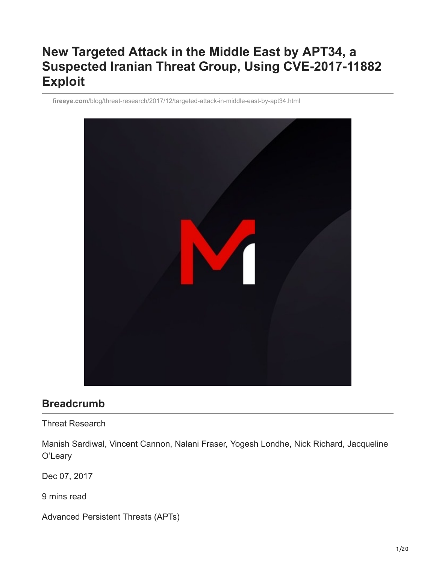# **New Targeted Attack in the Middle East by APT34, a Suspected Iranian Threat Group, Using CVE-2017-11882 Exploit**

**fireeye.com**[/blog/threat-research/2017/12/targeted-attack-in-middle-east-by-apt34.html](https://www.fireeye.com/blog/threat-research/2017/12/targeted-attack-in-middle-east-by-apt34.html)



# **Breadcrumb**

Threat Research

Manish Sardiwal, Vincent Cannon, Nalani Fraser, Yogesh Londhe, Nick Richard, Jacqueline O'Leary

Dec 07, 2017

9 mins read

Advanced Persistent Threats (APTs)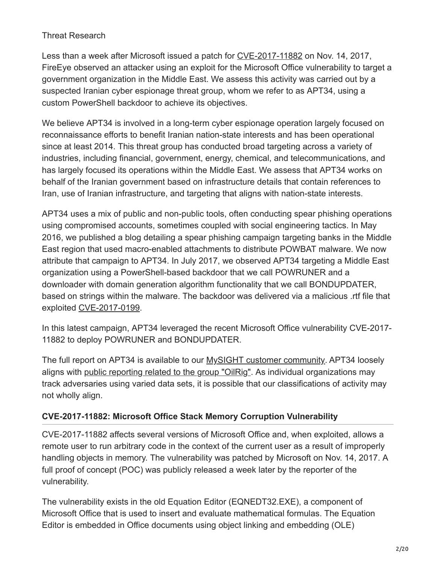## Threat Research

Less than a week after Microsoft issued a patch for [CVE-2017-11882](https://msrc.microsoft.com/update-guide/en-US/vulnerability/CVE-2017-11882) on Nov. 14, 2017, FireEye observed an attacker using an exploit for the Microsoft Office vulnerability to target a government organization in the Middle East. We assess this activity was carried out by a suspected Iranian cyber espionage threat group, whom we refer to as APT34, using a custom PowerShell backdoor to achieve its objectives.

We believe APT34 is involved in a long-term cyber espionage operation largely focused on reconnaissance efforts to benefit Iranian nation-state interests and has been operational since at least 2014. This threat group has conducted broad targeting across a variety of industries, including financial, government, energy, chemical, and telecommunications, and has largely focused its operations within the Middle East. We assess that APT34 works on behalf of the Iranian government based on infrastructure details that contain references to Iran, use of Iranian infrastructure, and targeting that aligns with nation-state interests.

APT34 uses a mix of public and non-public tools, often conducting spear phishing operations using compromised accounts, sometimes coupled with social engineering tactics. In May 2016, we published a blog detailing a spear phishing campaign targeting banks in the Middle East region that used macro-enabled attachments to distribute POWBAT malware. We now attribute that campaign to APT34. In July 2017, we observed APT34 targeting a Middle East organization using a PowerShell-based backdoor that we call POWRUNER and a downloader with domain generation algorithm functionality that we call BONDUPDATER, based on strings within the malware. The backdoor was delivered via a malicious .rtf file that exploited [CVE-2017-0199](https://www.mandiant.com/resources/cve-2017-0199-hta-handler).

In this latest campaign, APT34 leveraged the recent Microsoft Office vulnerability CVE-2017- 11882 to deploy POWRUNER and BONDUPDATER.

The full report on APT34 is available to our [MySIGHT customer community.](https://www.fireeye.com/mandiant/threat-intelligence/threat-intelligence-subscriptions.html%23dismiss-lightbox) APT34 loosely aligns with [public reporting related to the group "OilRig"](https://unit42.paloaltonetworks.com/unit42-oilrig-malware-campaign-updates-toolset-and-expands-targets/). As individual organizations may track adversaries using varied data sets, it is possible that our classifications of activity may not wholly align.

## **CVE-2017-11882: Microsoft Office Stack Memory Corruption Vulnerability**

CVE-2017-11882 affects several versions of Microsoft Office and, when exploited, allows a remote user to run arbitrary code in the context of the current user as a result of improperly handling objects in memory. The vulnerability was patched by Microsoft on Nov. 14, 2017. A full proof of concept (POC) was publicly released a week later by the reporter of the vulnerability.

The vulnerability exists in the old Equation Editor (EQNEDT32.EXE), a component of Microsoft Office that is used to insert and evaluate mathematical formulas. The Equation Editor is embedded in Office documents using object linking and embedding (OLE)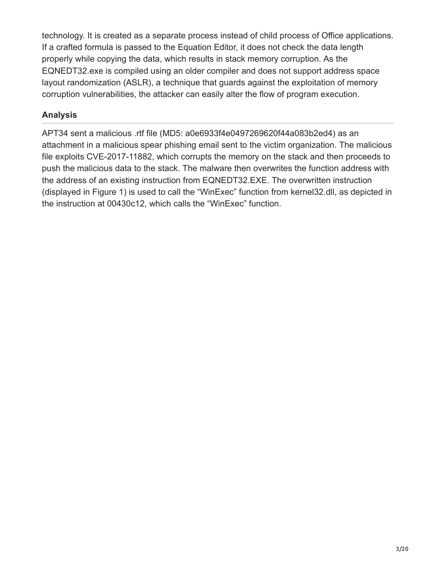technology. It is created as a separate process instead of child process of Office applications. If a crafted formula is passed to the Equation Editor, it does not check the data length properly while copying the data, which results in stack memory corruption. As the EQNEDT32.exe is compiled using an older compiler and does not support address space layout randomization (ASLR), a technique that guards against the exploitation of memory corruption vulnerabilities, the attacker can easily alter the flow of program execution.

## **Analysis**

APT34 sent a malicious .rtf file (MD5: a0e6933f4e0497269620f44a083b2ed4) as an attachment in a malicious spear phishing email sent to the victim organization. The malicious file exploits CVE-2017-11882, which corrupts the memory on the stack and then proceeds to push the malicious data to the stack. The malware then overwrites the function address with the address of an existing instruction from EQNEDT32.EXE. The overwritten instruction (displayed in Figure 1) is used to call the "WinExec" function from kernel32.dll, as depicted in the instruction at 00430c12, which calls the "WinExec" function.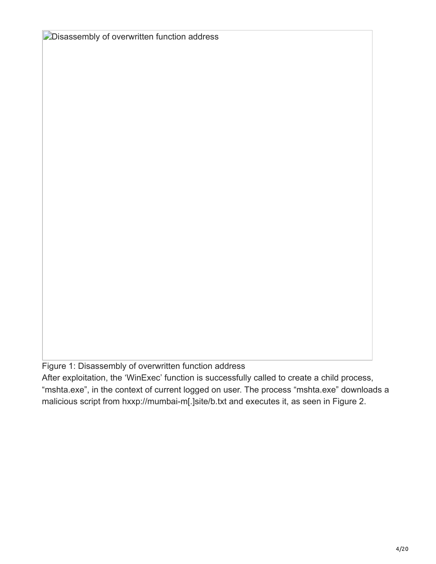**Disassembly of overwritten function address** 

Figure 1: Disassembly of overwritten function address

After exploitation, the 'WinExec' function is successfully called to create a child process, "mshta.exe", in the context of current logged on user. The process "mshta.exe" downloads a malicious script from hxxp://mumbai-m[.]site/b.txt and executes it, as seen in Figure 2.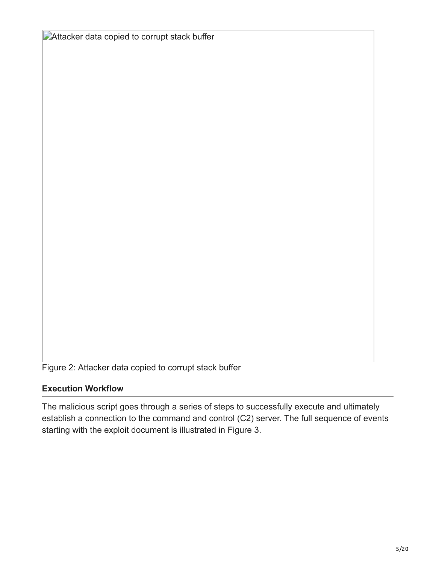**Attacker data copied to corrupt stack buffer** 

Figure 2: Attacker data copied to corrupt stack buffer

#### **Execution Workflow**

The malicious script goes through a series of steps to successfully execute and ultimately establish a connection to the command and control (C2) server. The full sequence of events starting with the exploit document is illustrated in Figure 3.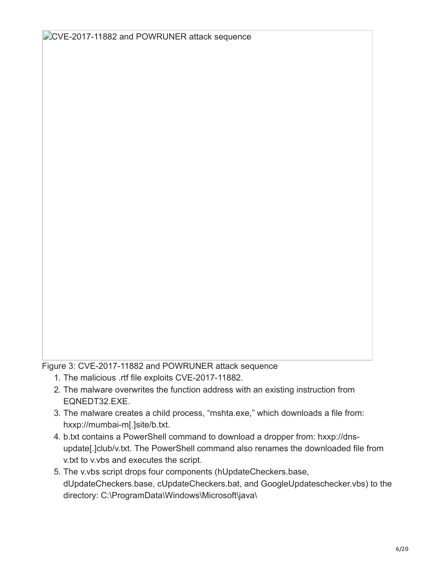Figure 3: CVE-2017-11882 and POWRUNER attack sequence

- 1. The malicious .rtf file exploits CVE-2017-11882.
- 2. The malware overwrites the function address with an existing instruction from EQNEDT32.EXE.
- 3. The malware creates a child process, "mshta.exe," which downloads a file from: hxxp://mumbai-m[.]site/b.txt.
- 4. b.txt contains a PowerShell command to download a dropper from: hxxp://dnsupdate[.]club/v.txt. The PowerShell command also renames the downloaded file from v.txt to v.vbs and executes the script.
- 5. The v.vbs script drops four components (hUpdateCheckers.base, dUpdateCheckers.base, cUpdateCheckers.bat, and GoogleUpdateschecker.vbs) to the directory: C:\ProgramData\Windows\Microsoft\java\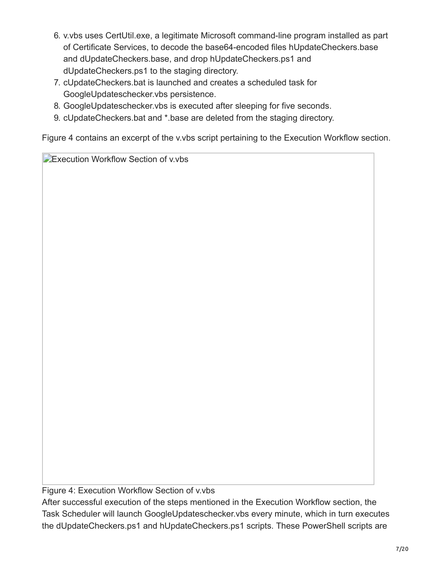- 6. v.vbs uses CertUtil.exe, a legitimate Microsoft command-line program installed as part of Certificate Services, to decode the base64-encoded files hUpdateCheckers.base and dUpdateCheckers.base, and drop hUpdateCheckers.ps1 and dUpdateCheckers.ps1 to the staging directory.
- 7. cUpdateCheckers.bat is launched and creates a scheduled task for GoogleUpdateschecker.vbs persistence.
- 8. GoogleUpdateschecker.vbs is executed after sleeping for five seconds.
- 9. cUpdateCheckers.bat and \*.base are deleted from the staging directory.

Figure 4 contains an excerpt of the v.vbs script pertaining to the Execution Workflow section.

Execution Workflow Section of v.vbs

Figure 4: Execution Workflow Section of v.vbs

After successful execution of the steps mentioned in the Execution Workflow section, the Task Scheduler will launch GoogleUpdateschecker.vbs every minute, which in turn executes the dUpdateCheckers.ps1 and hUpdateCheckers.ps1 scripts. These PowerShell scripts are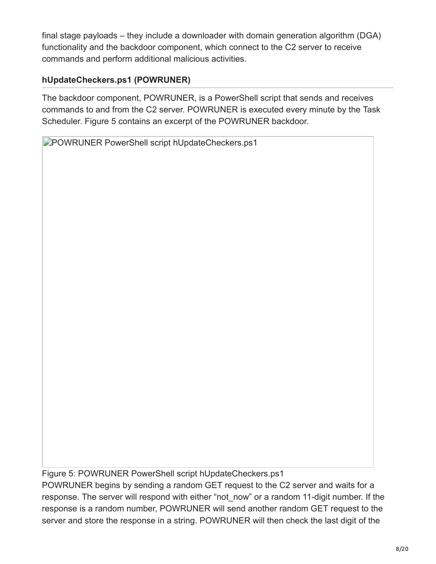final stage payloads – they include a downloader with domain generation algorithm (DGA) functionality and the backdoor component, which connect to the C2 server to receive commands and perform additional malicious activities.

## **hUpdateCheckers.ps1 (POWRUNER)**

The backdoor component, POWRUNER, is a PowerShell script that sends and receives commands to and from the C2 server. POWRUNER is executed every minute by the Task Scheduler. Figure 5 contains an excerpt of the POWRUNER backdoor.

**PPOWRUNER PowerShell script hUpdateCheckers.ps1** 

Figure 5: POWRUNER PowerShell script hUpdateCheckers.ps1

POWRUNER begins by sending a random GET request to the C2 server and waits for a response. The server will respond with either "not now" or a random 11-digit number. If the response is a random number, POWRUNER will send another random GET request to the server and store the response in a string. POWRUNER will then check the last digit of the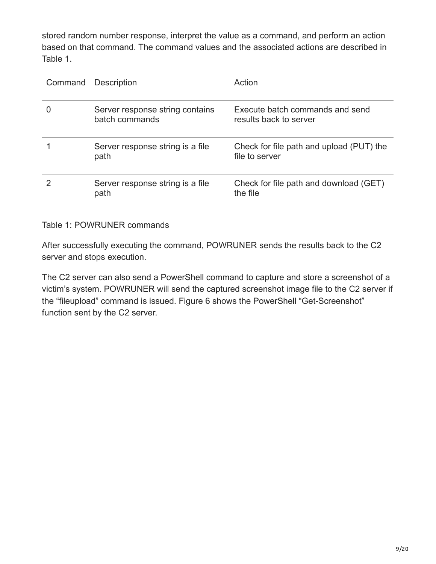stored random number response, interpret the value as a command, and perform an action based on that command. The command values and the associated actions are described in Table 1.

| Command Description                               | Action                                                     |
|---------------------------------------------------|------------------------------------------------------------|
| Server response string contains<br>batch commands | Execute batch commands and send<br>results back to server  |
| Server response string is a file<br>path          | Check for file path and upload (PUT) the<br>file to server |
| Server response string is a file<br>path          | Check for file path and download (GET)<br>the file         |

#### Table 1: POWRUNER commands

After successfully executing the command, POWRUNER sends the results back to the C2 server and stops execution.

The C2 server can also send a PowerShell command to capture and store a screenshot of a victim's system. POWRUNER will send the captured screenshot image file to the C2 server if the "fileupload" command is issued. Figure 6 shows the PowerShell "Get-Screenshot" function sent by the C2 server.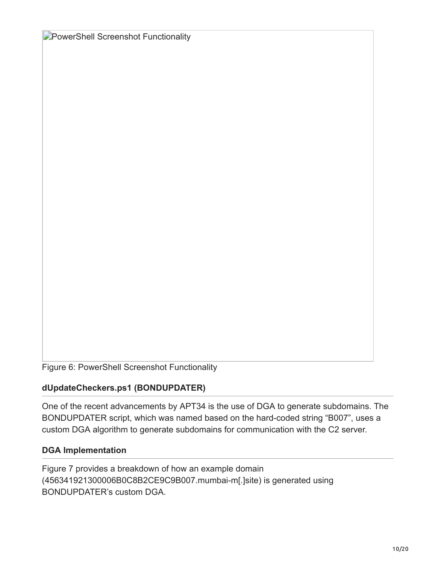**PowerShell Screenshot Functionality** 

Figure 6: PowerShell Screenshot Functionality

#### **dUpdateCheckers.ps1 (BONDUPDATER)**

One of the recent advancements by APT34 is the use of DGA to generate subdomains. The BONDUPDATER script, which was named based on the hard-coded string "B007", uses a custom DGA algorithm to generate subdomains for communication with the C2 server.

#### **DGA Implementation**

Figure 7 provides a breakdown of how an example domain (456341921300006B0C8B2CE9C9B007.mumbai-m[.]site) is generated using BONDUPDATER's custom DGA.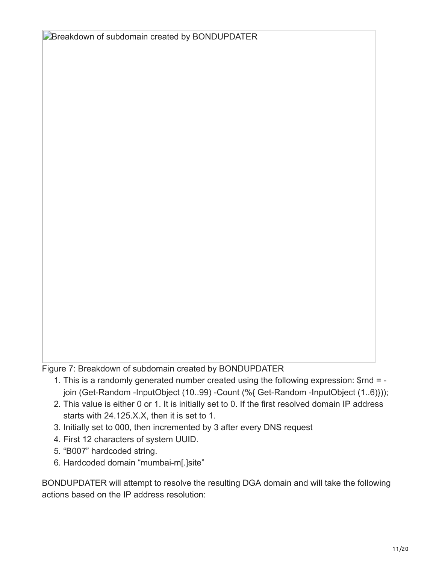**Breakdown of subdomain created by BONDUPDATER** 

Figure 7: Breakdown of subdomain created by BONDUPDATER

- 1. This is a randomly generated number created using the following expression: \$rnd = join (Get-Random -InputObject (10..99) -Count (%{ Get-Random -InputObject (1..6)}));
- 2. This value is either 0 or 1. It is initially set to 0. If the first resolved domain IP address starts with 24.125.X.X, then it is set to 1.
- 3. Initially set to 000, then incremented by 3 after every DNS request
- 4. First 12 characters of system UUID.
- 5. "B007" hardcoded string.
- 6. Hardcoded domain "mumbai-m[.]site"

BONDUPDATER will attempt to resolve the resulting DGA domain and will take the following actions based on the IP address resolution: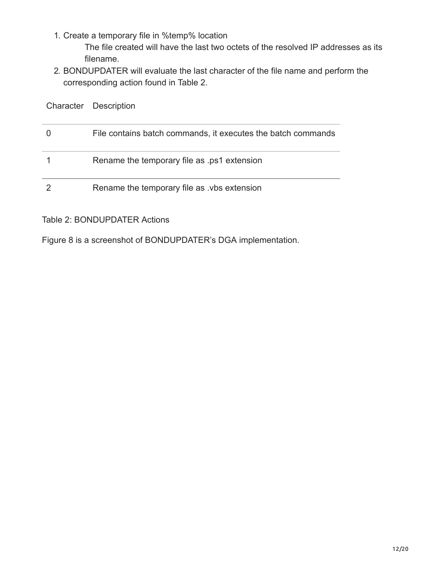1. Create a temporary file in %temp% location

The file created will have the last two octets of the resolved IP addresses as its filename.

2. BONDUPDATER will evaluate the last character of the file name and perform the corresponding action found in Table 2.

| Character Description                                        |
|--------------------------------------------------------------|
| File contains batch commands, it executes the batch commands |
| Rename the temporary file as .ps1 extension                  |
| Rename the temporary file as vbs extension                   |

### Table 2: BONDUPDATER Actions

Figure 8 is a screenshot of BONDUPDATER's DGA implementation.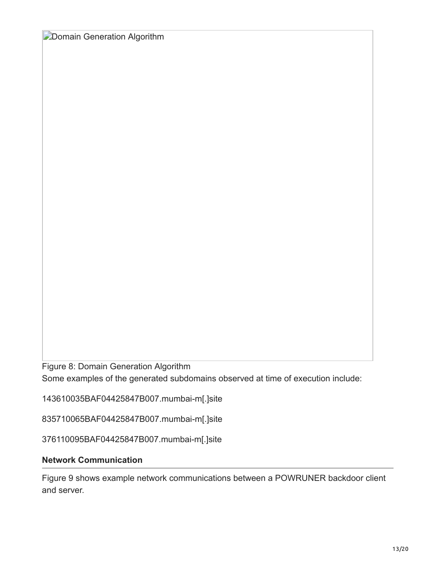**Domain Generation Algorithm** 

Figure 8: Domain Generation Algorithm Some examples of the generated subdomains observed at time of execution include:

143610035BAF04425847B007.mumbai-m[.]site

835710065BAF04425847B007.mumbai-m[.]site

376110095BAF04425847B007.mumbai-m[.]site

#### **Network Communication**

Figure 9 shows example network communications between a POWRUNER backdoor client and server.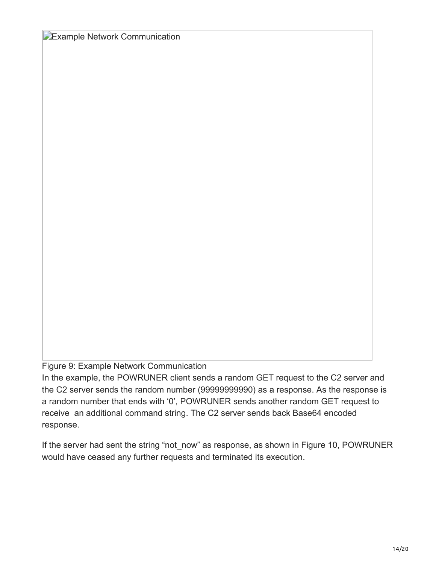**Example Network Communication** 

#### Figure 9: Example Network Communication

In the example, the POWRUNER client sends a random GET request to the C2 server and the C2 server sends the random number (99999999990) as a response. As the response is a random number that ends with '0', POWRUNER sends another random GET request to receive an additional command string. The C2 server sends back Base64 encoded response.

If the server had sent the string "not\_now" as response, as shown in Figure 10, POWRUNER would have ceased any further requests and terminated its execution.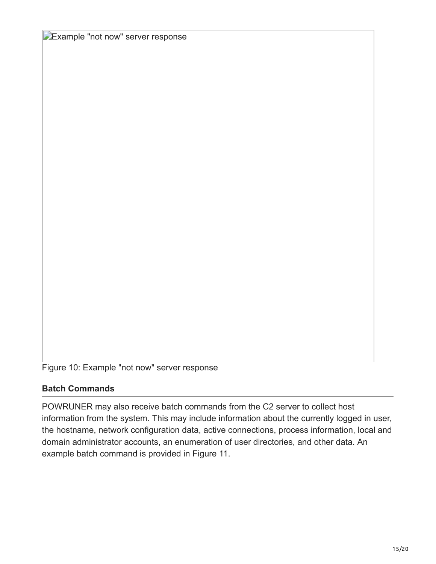**Example "not now" server response** 

Figure 10: Example "not now" server response

#### **Batch Commands**

POWRUNER may also receive batch commands from the C2 server to collect host information from the system. This may include information about the currently logged in user, the hostname, network configuration data, active connections, process information, local and domain administrator accounts, an enumeration of user directories, and other data. An example batch command is provided in Figure 11.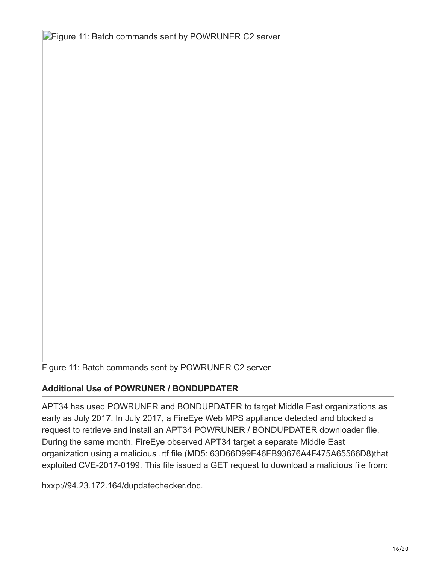**Figure 11: Batch commands sent by POWRUNER C2 server** 

Figure 11: Batch commands sent by POWRUNER C2 server

#### **Additional Use of POWRUNER / BONDUPDATER**

APT34 has used POWRUNER and BONDUPDATER to target Middle East organizations as early as July 2017. In July 2017, a FireEye Web MPS appliance detected and blocked a request to retrieve and install an APT34 POWRUNER / BONDUPDATER downloader file. During the same month, FireEye observed APT34 target a separate Middle East organization using a malicious .rtf file (MD5: 63D66D99E46FB93676A4F475A65566D8)that exploited CVE-2017-0199. This file issued a GET request to download a malicious file from:

hxxp://94.23.172.164/dupdatechecker.doc.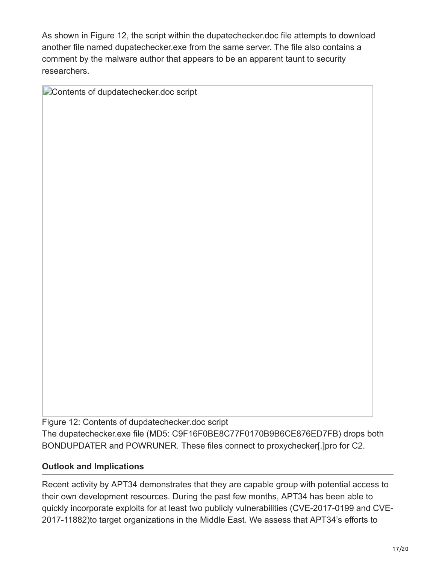As shown in Figure 12, the script within the dupatechecker.doc file attempts to download another file named dupatechecker.exe from the same server. The file also contains a comment by the malware author that appears to be an apparent taunt to security researchers.

Contents of dupdatechecker.doc script

Figure 12: Contents of dupdatechecker.doc script The dupatechecker.exe file (MD5: C9F16F0BE8C77F0170B9B6CE876ED7FB) drops both BONDUPDATER and POWRUNER. These files connect to proxychecker[.]pro for C2.

## **Outlook and Implications**

Recent activity by APT34 demonstrates that they are capable group with potential access to their own development resources. During the past few months, APT34 has been able to quickly incorporate exploits for at least two publicly vulnerabilities (CVE-2017-0199 and CVE-2017-11882)to target organizations in the Middle East. We assess that APT34's efforts to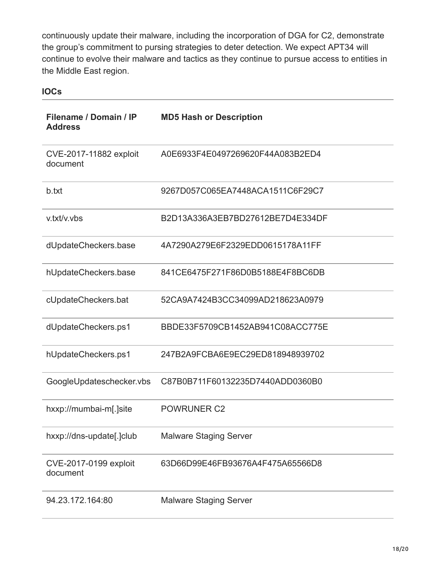continuously update their malware, including the incorporation of DGA for C2, demonstrate the group's commitment to pursing strategies to deter detection. We expect APT34 will continue to evolve their malware and tactics as they continue to pursue access to entities in the Middle East region.

## **IOCs**

| Filename / Domain / IP<br><b>Address</b> | <b>MD5 Hash or Description</b>   |
|------------------------------------------|----------------------------------|
| CVE-2017-11882 exploit<br>document       | A0E6933F4E0497269620F44A083B2ED4 |
| b.txt                                    | 9267D057C065EA7448ACA1511C6F29C7 |
| v.txt/v.vbs                              | B2D13A336A3EB7BD27612BE7D4E334DF |
| dUpdateCheckers.base                     | 4A7290A279E6F2329EDD0615178A11FF |
| hUpdateCheckers.base                     | 841CE6475F271F86D0B5188E4F8BC6DB |
| cUpdateCheckers.bat                      | 52CA9A7424B3CC34099AD218623A0979 |
| dUpdateCheckers.ps1                      | BBDE33F5709CB1452AB941C08ACC775E |
| hUpdateCheckers.ps1                      | 247B2A9FCBA6E9EC29ED818948939702 |
| GoogleUpdateschecker.vbs                 | C87B0B711F60132235D7440ADD0360B0 |
| hxxp://mumbai-m[.]site                   | <b>POWRUNER C2</b>               |
| hxxp://dns-update[.]club                 | <b>Malware Staging Server</b>    |
| CVE-2017-0199 exploit<br>document        | 63D66D99E46FB93676A4F475A65566D8 |
| 94.23.172.164:80                         | <b>Malware Staging Server</b>    |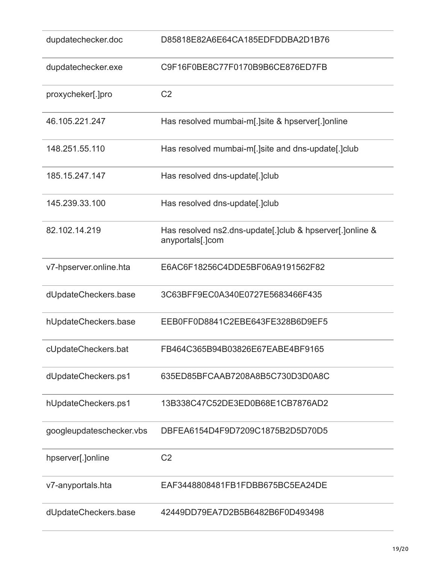| dupdatechecker.doc       | D85818E82A6E64CA185EDFDDBA2D1B76                                               |
|--------------------------|--------------------------------------------------------------------------------|
| dupdatechecker.exe       | C9F16F0BE8C77F0170B9B6CE876ED7FB                                               |
| proxycheker[.]pro        | C <sub>2</sub>                                                                 |
| 46.105.221.247           | Has resolved mumbai-m[.]site & hpserver[.]online                               |
| 148.251.55.110           | Has resolved mumbai-m[.]site and dns-update[.]club                             |
| 185.15.247.147           | Has resolved dns-update[.]club                                                 |
| 145.239.33.100           | Has resolved dns-update[.]club                                                 |
| 82.102.14.219            | Has resolved ns2.dns-update[.] club & hpserver[.] online &<br>anyportals[.]com |
| v7-hpserver.online.hta   | E6AC6F18256C4DDE5BF06A9191562F82                                               |
| dUpdateCheckers.base     | 3C63BFF9EC0A340E0727E5683466F435                                               |
| hUpdateCheckers.base     | EEB0FF0D8841C2EBE643FE328B6D9EF5                                               |
| cUpdateCheckers.bat      | FB464C365B94B03826E67EABE4BF9165                                               |
| dUpdateCheckers.ps1      | 635ED85BFCAAB7208A8B5C730D3D0A8C                                               |
| hUpdateCheckers.ps1      | 13B338C47C52DE3ED0B68E1CB7876AD2                                               |
| googleupdateschecker.vbs | DBFEA6154D4F9D7209C1875B2D5D70D5                                               |
| hpserver[.]online        | C <sub>2</sub>                                                                 |
| v7-anyportals.hta        | EAF3448808481FB1FDBB675BC5EA24DE                                               |
| dUpdateCheckers.base     | 42449DD79EA7D2B5B6482B6F0D493498                                               |